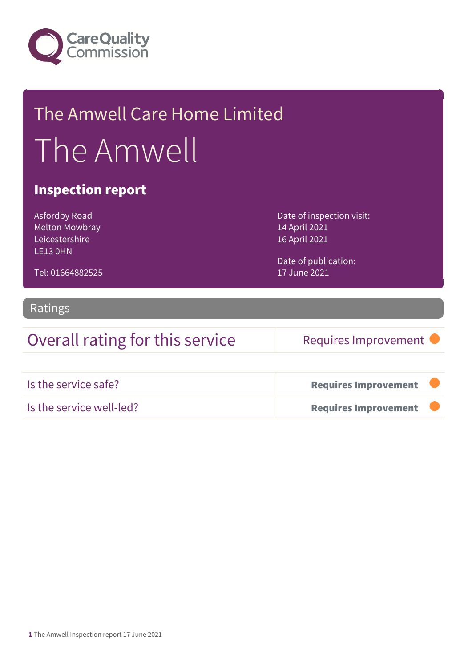

## The Amwell Care Home Limited The Amwell

#### Inspection report

Asfordby Road Melton Mowbray Leicestershire LE13 0HN

Tel: 01664882525

Date of inspection visit: 14 April 2021 16 April 2021

Date of publication: 17 June 2021

#### Ratings

### Overall rating for this service Requires Improvement

| Is the service safe?     | <b>Requires Improvement</b> |  |
|--------------------------|-----------------------------|--|
| Is the service well-led? | <b>Requires Improvement</b> |  |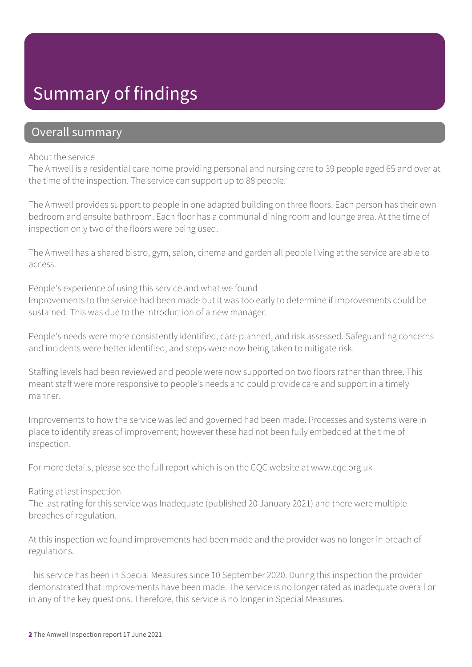## Summary of findings

#### Overall summary

#### About the service

The Amwell is a residential care home providing personal and nursing care to 39 people aged 65 and over at the time of the inspection. The service can support up to 88 people.

The Amwell provides support to people in one adapted building on three floors. Each person has their own bedroom and ensuite bathroom. Each floor has a communal dining room and lounge area. At the time of inspection only two of the floors were being used.

The Amwell has a shared bistro, gym, salon, cinema and garden all people living at the service are able to access.

People's experience of using this service and what we found Improvements to the service had been made but it was too early to determine if improvements could be sustained. This was due to the introduction of a new manager.

People's needs were more consistently identified, care planned, and risk assessed. Safeguarding concerns and incidents were better identified, and steps were now being taken to mitigate risk.

Staffing levels had been reviewed and people were now supported on two floors rather than three. This meant staff were more responsive to people's needs and could provide care and support in a timely manner.

Improvements to how the service was led and governed had been made. Processes and systems were in place to identify areas of improvement; however these had not been fully embedded at the time of inspection.

For more details, please see the full report which is on the CQC website at www.cqc.org.uk

#### Rating at last inspection

The last rating for this service was Inadequate (published 20 January 2021) and there were multiple breaches of regulation.

At this inspection we found improvements had been made and the provider was no longer in breach of regulations.

This service has been in Special Measures since 10 September 2020. During this inspection the provider demonstrated that improvements have been made. The service is no longer rated as inadequate overall or in any of the key questions. Therefore, this service is no longer in Special Measures.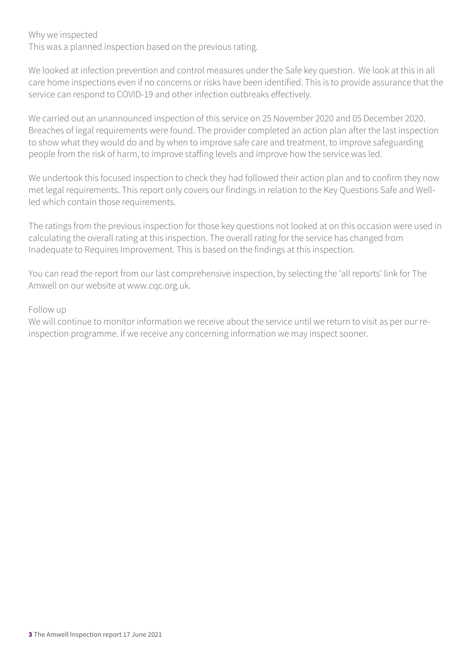Why we inspected

This was a planned inspection based on the previous rating.

We looked at infection prevention and control measures under the Safe key question. We look at this in all care home inspections even if no concerns or risks have been identified. This is to provide assurance that the service can respond to COVID-19 and other infection outbreaks effectively.

We carried out an unannounced inspection of this service on 25 November 2020 and 05 December 2020. Breaches of legal requirements were found. The provider completed an action plan after the last inspection to show what they would do and by when to improve safe care and treatment, to improve safeguarding people from the risk of harm, to improve staffing levels and improve how the service was led.

We undertook this focused inspection to check they had followed their action plan and to confirm they now met legal requirements. This report only covers our findings in relation to the Key Questions Safe and Wellled which contain those requirements.

The ratings from the previous inspection for those key questions not looked at on this occasion were used in calculating the overall rating at this inspection. The overall rating for the service has changed from Inadequate to Requires Improvement. This is based on the findings at this inspection.

You can read the report from our last comprehensive inspection, by selecting the 'all reports' link for The Amwell on our website at www.cqc.org.uk.

#### Follow up

We will continue to monitor information we receive about the service until we return to visit as per our reinspection programme. If we receive any concerning information we may inspect sooner.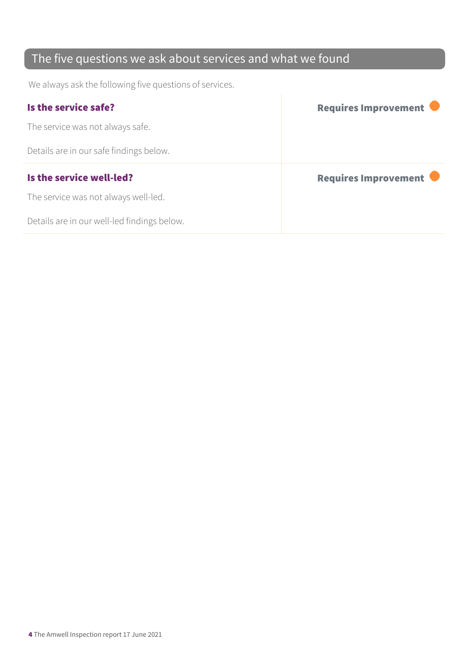## The five questions we ask about services and what we found

We always ask the following five questions of services.

| Is the service safe?                    | Requires Improvement |
|-----------------------------------------|----------------------|
| The service was not always safe.        |                      |
| Details are in our safe findings below. |                      |
|                                         |                      |
| Is the service well-led?                | Requires Improvement |
| The service was not always well-led.    |                      |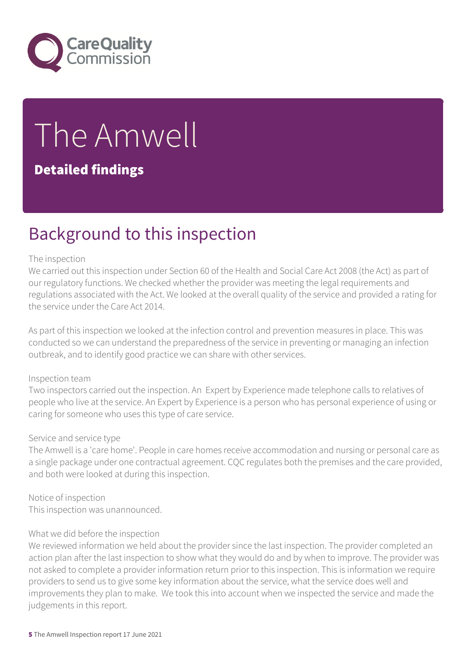

# The Amwell

#### Detailed findings

## Background to this inspection

#### The inspection

We carried out this inspection under Section 60 of the Health and Social Care Act 2008 (the Act) as part of our regulatory functions. We checked whether the provider was meeting the legal requirements and regulations associated with the Act. We looked at the overall quality of the service and provided a rating for the service under the Care Act 2014.

As part of this inspection we looked at the infection control and prevention measures in place. This was conducted so we can understand the preparedness of the service in preventing or managing an infection outbreak, and to identify good practice we can share with other services.

#### Inspection team

Two inspectors carried out the inspection. An Expert by Experience made telephone calls to relatives of people who live at the service. An Expert by Experience is a person who has personal experience of using or caring for someone who uses this type of care service.

#### Service and service type

The Amwell is a 'care home'. People in care homes receive accommodation and nursing or personal care as a single package under one contractual agreement. CQC regulates both the premises and the care provided, and both were looked at during this inspection.

Notice of inspection This inspection was unannounced.

#### What we did before the inspection

We reviewed information we held about the provider since the last inspection. The provider completed an action plan after the last inspection to show what they would do and by when to improve. The provider was not asked to complete a provider information return prior to this inspection. This is information we require providers to send us to give some key information about the service, what the service does well and improvements they plan to make. We took this into account when we inspected the service and made the judgements in this report.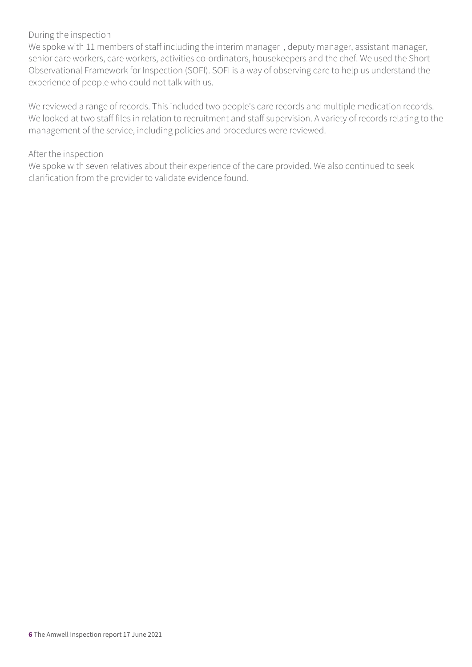#### During the inspection

We spoke with 11 members of staff including the interim manager , deputy manager, assistant manager, senior care workers, care workers, activities co-ordinators, housekeepers and the chef. We used the Short Observational Framework for Inspection (SOFI). SOFI is a way of observing care to help us understand the experience of people who could not talk with us.

We reviewed a range of records. This included two people's care records and multiple medication records. We looked at two staff files in relation to recruitment and staff supervision. A variety of records relating to the management of the service, including policies and procedures were reviewed.

#### After the inspection

We spoke with seven relatives about their experience of the care provided. We also continued to seek clarification from the provider to validate evidence found.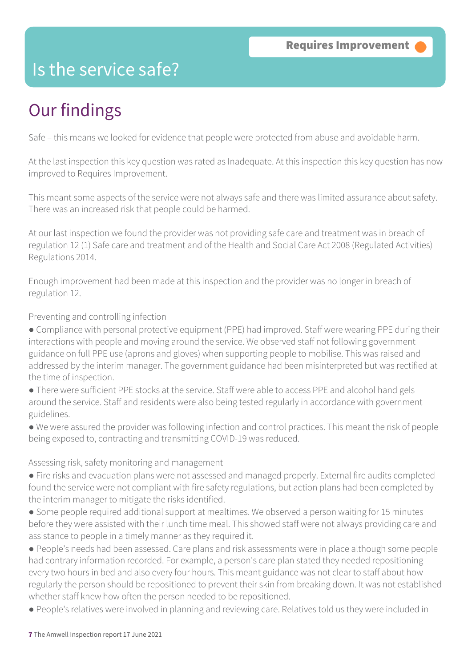## Is the service safe?

## Our findings

Safe – this means we looked for evidence that people were protected from abuse and avoidable harm.

At the last inspection this key question was rated as Inadequate. At this inspection this key question has now improved to Requires Improvement.

This meant some aspects of the service were not always safe and there was limited assurance about safety. There was an increased risk that people could be harmed.

At our last inspection we found the provider was not providing safe care and treatment was in breach of regulation 12 (1) Safe care and treatment and of the Health and Social Care Act 2008 (Regulated Activities) Regulations 2014.

Enough improvement had been made at this inspection and the provider was no longer in breach of regulation 12.

Preventing and controlling infection

- Compliance with personal protective equipment (PPE) had improved. Staff were wearing PPE during their interactions with people and moving around the service. We observed staff not following government guidance on full PPE use (aprons and gloves) when supporting people to mobilise. This was raised and addressed by the interim manager. The government guidance had been misinterpreted but was rectified at the time of inspection.
- There were sufficient PPE stocks at the service. Staff were able to access PPE and alcohol hand gels around the service. Staff and residents were also being tested regularly in accordance with government guidelines.
- We were assured the provider was following infection and control practices. This meant the risk of people being exposed to, contracting and transmitting COVID-19 was reduced.

Assessing risk, safety monitoring and management

- Fire risks and evacuation plans were not assessed and managed properly. External fire audits completed found the service were not compliant with fire safety regulations, but action plans had been completed by the interim manager to mitigate the risks identified.
- Some people required additional support at mealtimes. We observed a person waiting for 15 minutes before they were assisted with their lunch time meal. This showed staff were not always providing care and assistance to people in a timely manner as they required it.
- People's needs had been assessed. Care plans and risk assessments were in place although some people had contrary information recorded. For example, a person's care plan stated they needed repositioning every two hours in bed and also every four hours. This meant guidance was not clear to staff about how regularly the person should be repositioned to prevent their skin from breaking down. It was not established whether staff knew how often the person needed to be repositioned.
- People's relatives were involved in planning and reviewing care. Relatives told us they were included in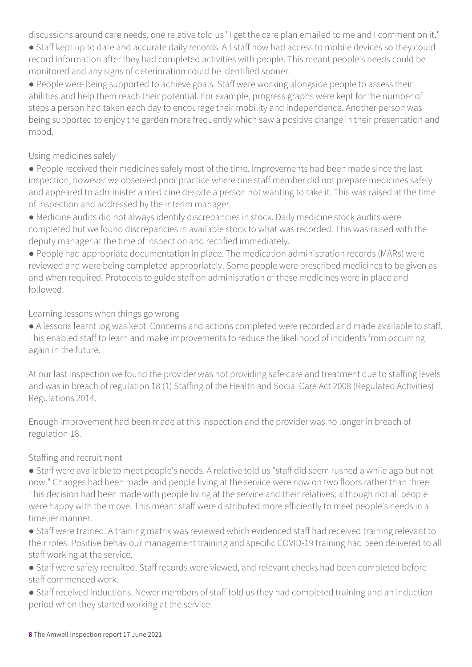discussions around care needs, one relative told us "I get the care plan emailed to me and I comment on it."

- Staff kept up to date and accurate daily records. All staff now had access to mobile devices so they could record information after they had completed activities with people. This meant people's needs could be monitored and any signs of deterioration could be identified sooner.
- People were being supported to achieve goals. Staff were working alongside people to assess their abilities and help them reach their potential. For example, progress graphs were kept for the number of steps a person had taken each day to encourage their mobility and independence. Another person was being supported to enjoy the garden more frequently which saw a positive change in their presentation and mood.

#### Using medicines safely

- People received their medicines safely most of the time. Improvements had been made since the last inspection, however we observed poor practice where one staff member did not prepare medicines safely and appeared to administer a medicine despite a person not wanting to take it. This was raised at the time of inspection and addressed by the interim manager.
- Medicine audits did not always identify discrepancies in stock. Daily medicine stock audits were completed but we found discrepancies in available stock to what was recorded. This was raised with the deputy manager at the time of inspection and rectified immediately.
- People had appropriate documentation in place. The medication administration records (MARs) were reviewed and were being completed appropriately. Some people were prescribed medicines to be given as and when required. Protocols to guide staff on administration of these medicines were in place and followed.

#### Learning lessons when things go wrong

- A lessons learnt log was kept. Concerns and actions completed were recorded and made available to staff. This enabled staff to learn and make improvements to reduce the likelihood of incidents from occurring again in the future.
- At our last inspection we found the provider was not providing safe care and treatment due to staffing levels and was in breach of regulation 18 (1) Staffing of the Health and Social Care Act 2008 (Regulated Activities) Regulations 2014.
- Enough improvement had been made at this inspection and the provider was no longer in breach of regulation 18.

#### Staffing and recruitment

- Staff were available to meet people's needs. A relative told us "staff did seem rushed a while ago but not now." Changes had been made and people living at the service were now on two floors rather than three. This decision had been made with people living at the service and their relatives, although not all people were happy with the move. This meant staff were distributed more efficiently to meet people's needs in a timelier manner.
- Staff were trained. A training matrix was reviewed which evidenced staff had received training relevant to their roles. Positive behaviour management training and specific COVID-19 training had been delivered to all staff working at the service.
- Staff were safely recruited. Staff records were viewed, and relevant checks had been completed before staff commenced work.
- Staff received inductions. Newer members of staff told us they had completed training and an induction period when they started working at the service.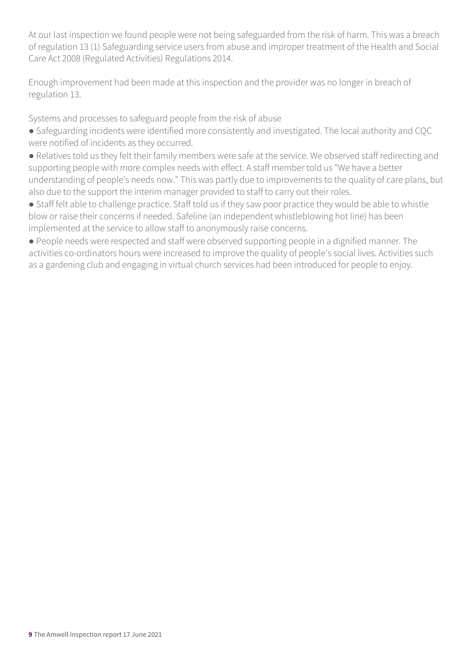At our last inspection we found people were not being safeguarded from the risk of harm. This was a breach of regulation 13 (1) Safeguarding service users from abuse and improper treatment of the Health and Social Care Act 2008 (Regulated Activities) Regulations 2014.

Enough improvement had been made at this inspection and the provider was no longer in breach of regulation 13.

Systems and processes to safeguard people from the risk of abuse

- Safeguarding incidents were identified more consistently and investigated. The local authority and CQC were notified of incidents as they occurred.
- Relatives told us they felt their family members were safe at the service. We observed staff redirecting and supporting people with more complex needs with effect. A staff member told us "We have a better understanding of people's needs now." This was partly due to improvements to the quality of care plans, but also due to the support the interim manager provided to staff to carry out their roles.
- Staff felt able to challenge practice. Staff told us if they saw poor practice they would be able to whistle blow or raise their concerns if needed. Safeline (an independent whistleblowing hot line) has been implemented at the service to allow staff to anonymously raise concerns.
- People needs were respected and staff were observed supporting people in a dignified manner. The activities co-ordinators hours were increased to improve the quality of people's social lives. Activities such as a gardening club and engaging in virtual church services had been introduced for people to enjoy.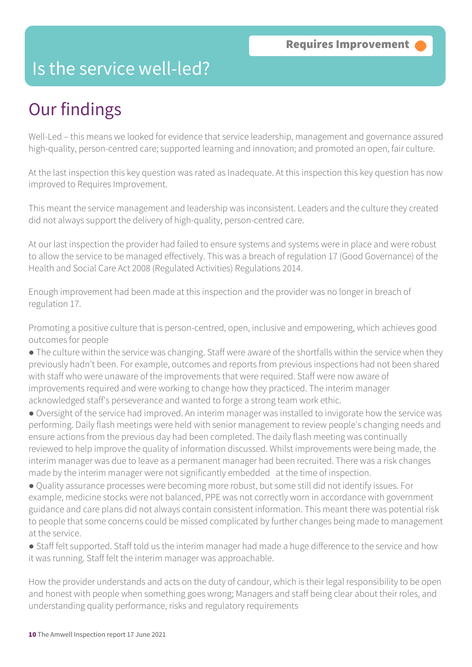## Is the service well-led?

## Our findings

Well-Led – this means we looked for evidence that service leadership, management and governance assured high-quality, person-centred care; supported learning and innovation; and promoted an open, fair culture.

At the last inspection this key question was rated as Inadequate. At this inspection this key question has now improved to Requires Improvement.

This meant the service management and leadership was inconsistent. Leaders and the culture they created did not always support the delivery of high-quality, person-centred care.

At our last inspection the provider had failed to ensure systems and systems were in place and were robust to allow the service to be managed effectively. This was a breach of regulation 17 (Good Governance) of the Health and Social Care Act 2008 (Regulated Activities) Regulations 2014.

Enough improvement had been made at this inspection and the provider was no longer in breach of regulation 17.

Promoting a positive culture that is person-centred, open, inclusive and empowering, which achieves good outcomes for people

- The culture within the service was changing. Staff were aware of the shortfalls within the service when they previously hadn't been. For example, outcomes and reports from previous inspections had not been shared with staff who were unaware of the improvements that were required. Staff were now aware of improvements required and were working to change how they practiced. The interim manager acknowledged staff's perseverance and wanted to forge a strong team work ethic.
- Oversight of the service had improved. An interim manager was installed to invigorate how the service was performing. Daily flash meetings were held with senior management to review people's changing needs and ensure actions from the previous day had been completed. The daily flash meeting was continually reviewed to help improve the quality of information discussed. Whilst improvements were being made, the interim manager was due to leave as a permanent manager had been recruited. There was a risk changes made by the interim manager were not significantly embedded at the time of inspection.
- Quality assurance processes were becoming more robust, but some still did not identify issues. For example, medicine stocks were not balanced, PPE was not correctly worn in accordance with government guidance and care plans did not always contain consistent information. This meant there was potential risk to people that some concerns could be missed complicated by further changes being made to management at the service.
- Staff felt supported. Staff told us the interim manager had made a huge difference to the service and how it was running. Staff felt the interim manager was approachable.

How the provider understands and acts on the duty of candour, which is their legal responsibility to be open and honest with people when something goes wrong; Managers and staff being clear about their roles, and understanding quality performance, risks and regulatory requirements